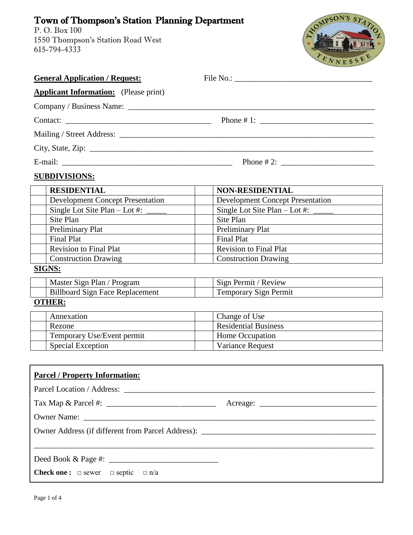## Town of Thompson's Station Planning Department

P. O. Box 100 1550 Thompson's Station Road West 615-794-4333



| <b>General Application / Request:</b>                   | File No.:                               |  |
|---------------------------------------------------------|-----------------------------------------|--|
| <b>Applicant Information:</b> (Please print)            |                                         |  |
|                                                         |                                         |  |
|                                                         |                                         |  |
|                                                         |                                         |  |
|                                                         |                                         |  |
| Phone # 2: $\frac{1}{2}$                                |                                         |  |
| <b>SUBDIVISIONS:</b>                                    |                                         |  |
| <b>RESIDENTIAL</b>                                      | <b>NON-RESIDENTIAL</b>                  |  |
| <b>Development Concept Presentation</b>                 | <b>Development Concept Presentation</b> |  |
|                                                         | Single Lot Site Plan $-$ Lot #: $\_\_$  |  |
| Site Plan                                               | Site Plan                               |  |
| Preliminary Plat                                        | Preliminary Plat                        |  |
| <b>Final Plat</b>                                       | <b>Final Plat</b>                       |  |
| <b>Revision to Final Plat</b>                           | <b>Revision to Final Plat</b>           |  |
| <b>Construction Drawing</b>                             | <b>Construction Drawing</b>             |  |
| <b>SIGNS:</b>                                           |                                         |  |
| Master Sign Plan / Program                              | Sign Permit / Review                    |  |
| <b>Billboard Sign Face Replacement</b>                  | Temporary Sign Permit                   |  |
| <b>OTHER:</b>                                           |                                         |  |
| Annexation                                              | Change of Use                           |  |
| Rezone                                                  | <b>Residential Business</b>             |  |
| Temporary Use/Event permit                              | Home Occupation                         |  |
| <b>Special Exception</b>                                | Variance Request                        |  |
|                                                         |                                         |  |
| <b>Parcel / Property Information:</b>                   |                                         |  |
|                                                         |                                         |  |
|                                                         |                                         |  |
|                                                         |                                         |  |
|                                                         |                                         |  |
|                                                         |                                         |  |
|                                                         |                                         |  |
| <b>Check one:</b> $\Box$ sewer $\Box$ septic $\Box$ n/a |                                         |  |
|                                                         |                                         |  |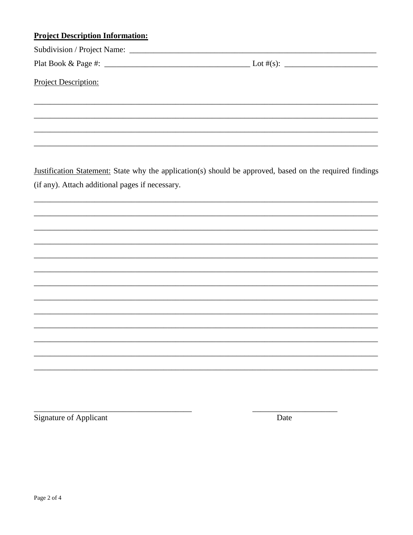## **Project Description Information:**

Project Description:

Justification Statement: State why the application(s) should be approved, based on the required findings (if any). Attach additional pages if necessary.

**Signature of Applicant** 

Date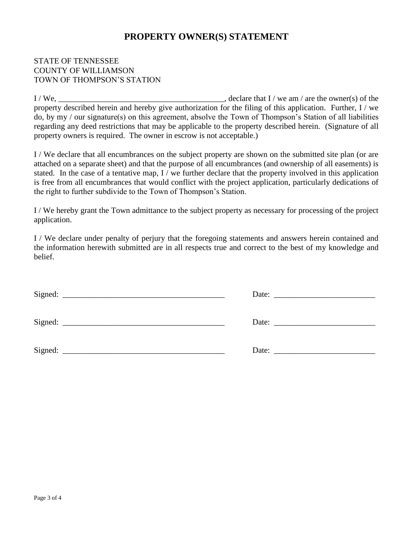## **PROPERTY OWNER(S) STATEMENT**

## STATE OF TENNESSEE COUNTY OF WILLIAMSON TOWN OF THOMPSON'S STATION

 $I/We$ ,  $\frac{I/We}{I/W}$ , declare that  $I/we$  am / are the owner(s) of the property described herein and hereby give authorization for the filing of this application. Further, I / we do, by my / our signature(s) on this agreement, absolve the Town of Thompson's Station of all liabilities regarding any deed restrictions that may be applicable to the property described herein. (Signature of all property owners is required. The owner in escrow is not acceptable.)

I / We declare that all encumbrances on the subject property are shown on the submitted site plan (or are attached on a separate sheet) and that the purpose of all encumbrances (and ownership of all easements) is stated. In the case of a tentative map, I / we further declare that the property involved in this application is free from all encumbrances that would conflict with the project application, particularly dedications of the right to further subdivide to the Town of Thompson's Station.

I / We hereby grant the Town admittance to the subject property as necessary for processing of the project application.

I / We declare under penalty of perjury that the foregoing statements and answers herein contained and the information herewith submitted are in all respects true and correct to the best of my knowledge and belief.